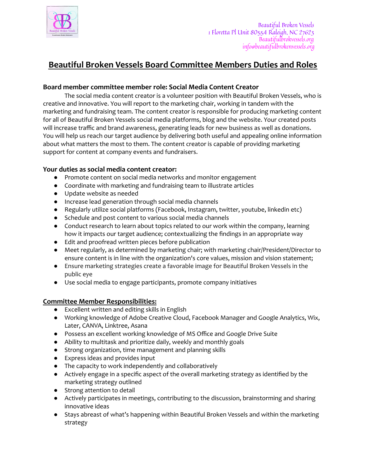

## **Beautiful Broken Vessels Board Committee Members Duties and Roles**

## **Board member committee member role: Social Media Content Creator**

The social media content creator is a volunteer position with Beautiful Broken Vessels, who is creative and innovative. You will report to the marketing chair, working in tandem with the marketing and fundraising team. The content creator is responsible for producing marketing content for all of Beautiful Broken Vessels social media platforms, blog and the website. Your created posts will increase traffic and brand awareness, generating leads for new business as well as donations. You will help us reach our target audience by delivering both useful and appealing online information about what matters the most to them. The content creator is capable of providing marketing support for content at company events and fundraisers.

## **Your duties as social media content creator:**

- Promote content on social media networks and monitor engagement
- Coordinate with marketing and fundraising team to illustrate articles
- Update website as needed
- Increase lead generation through social media channels
- Regularly utilize social platforms (Facebook, Instagram, twitter, youtube, linkedin etc)
- Schedule and post content to various social media channels
- Conduct research to learn about topics related to our work within the company, learning how it impacts our target audience; contextualizing the findings in an appropriate way
- Edit and proofread written pieces before publication
- Meet regularly, as determined by marketing chair; with marketing chair/President/Director to ensure content is in line with the organization's core values, mission and vision statement;
- Ensure marketing strategies create a favorable image for Beautiful Broken Vessels in the public eye
- Use social media to engage participants, promote company initiatives

## **Committee Member Responsibilities:**

- Excellent written and editing skills in English
- Working knowledge of Adobe Creative Cloud, Facebook Manager and Google Analytics, Wix, Later, CANVA, Linktree, Asana
- Possess an excellent working knowledge of MS Office and Google Drive Suite
- Ability to multitask and prioritize daily, weekly and monthly goals
- Strong organization, time management and planning skills
- Express ideas and provides input
- The capacity to work independently and collaboratively
- Actively engage in a specific aspect of the overall marketing strategy as identified by the marketing strategy outlined
- Strong attention to detail
- Actively participates in meetings, contributing to the discussion, brainstorming and sharing innovative ideas
- Stays abreast of what's happening within Beautiful Broken Vessels and within the marketing strategy